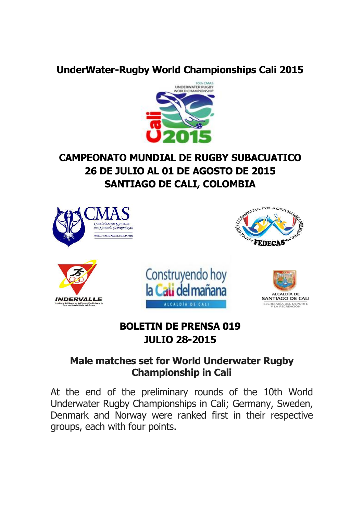#### **UnderWater-Rugby World Championships Cali 2015**



# **CAMPEONATO MUNDIAL DE RUGBY SUBACUATICO 26 DE JULIO AL 01 DE AGOSTO DE 2015 SANTIAGO DE CALI, COLOMBIA**



### **BOLETIN DE PRENSA 019 JULIO 28-2015**

#### **Male matches set for World Underwater Rugby Championship in Cali**

At the end of the preliminary rounds of the 10th World Underwater Rugby Championships in Cali; Germany, Sweden, Denmark and Norway were ranked first in their respective groups, each with four points.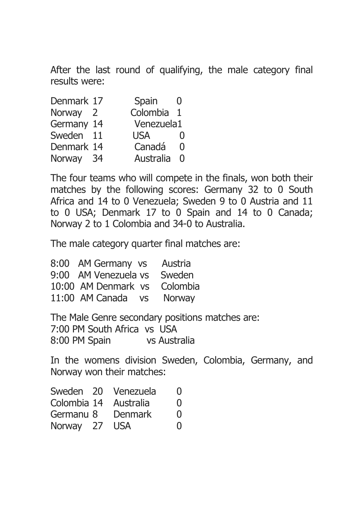After the last round of qualifying, the male category final results were:

| Denmark 17 | Spain       |              |
|------------|-------------|--------------|
| Norway 2   | Colombia 1  |              |
| Germany 14 | Venezuela1  |              |
| Sweden 11  | <b>USA</b>  | $\mathbf{U}$ |
| Denmark 14 | Canadá      | 0            |
| Norway 34  | Australia 0 |              |

The four teams who will compete in the finals, won both their matches by the following scores: Germany 32 to 0 South Africa and 14 to 0 Venezuela; Sweden 9 to 0 Austria and 11 to 0 USA; Denmark 17 to 0 Spain and 14 to 0 Canada; Norway 2 to 1 Colombia and 34-0 to Australia.

The male category quarter final matches are:

| 8:00 AM Germany vs   | Austria       |
|----------------------|---------------|
| 9:00 AM Venezuela vs | Sweden        |
| 10:00 AM Denmark vs  | Colombia      |
| 11:00 AM Canada vs   | <b>Norway</b> |

The Male Genre secondary positions matches are: 7:00 PM South Africa vs USA 8:00 PM Spain vs Australia

In the womens division Sweden, Colombia, Germany, and Norway won their matches:

|           |         | $\mathbf{I}$                                                  |
|-----------|---------|---------------------------------------------------------------|
|           |         | $\Omega$                                                      |
| Germanu 8 | Denmark | $\Omega$                                                      |
|           |         | $\Omega$                                                      |
|           |         | Sweden 20 Venezuela<br>Colombia 14 Australia<br>Norway 27 USA |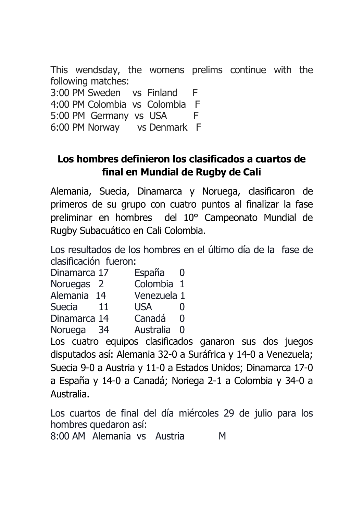This wendsday, the womens prelims continue with the following matches: 3:00 PM Sweden vs Finland F 4:00 PM Colombia vs Colombia F 5:00 PM Germany vs USA F 6:00 PM Norway vs Denmark F

## **Los hombres definieron los clasificados a cuartos de final en Mundial de Rugby de Cali**

Alemania, Suecia, Dinamarca y Noruega, clasificaron de primeros de su grupo con cuatro puntos al finalizar la fase preliminar en hombres del 10° Campeonato Mundial de Rugby Subacuático en Cali Colombia.

Los resultados de los hombres en el último día de la fase de clasificación fueron:

| Dinamarca 17   | España<br>- 0                   |
|----------------|---------------------------------|
| Noruegas 2     | Colombia 1                      |
| Alemania 14    | Venezuela 1                     |
| Suecia<br>11   | <b>USA</b><br>$\mathbf{\Omega}$ |
| Dinamarca 14   | Canadá<br>0                     |
| Noruega<br>-34 | Australia 0                     |

Los cuatro equipos clasificados ganaron sus dos juegos disputados así: Alemania 32-0 a Suráfrica y 14-0 a Venezuela; Suecia 9-0 a Austria y 11-0 a Estados Unidos; Dinamarca 17-0 a España y 14-0 a Canadá; Noriega 2-1 a Colombia y 34-0 a Australia.

Los cuartos de final del día miércoles 29 de julio para los hombres quedaron así:

8:00 AM Alemania vs Austria M